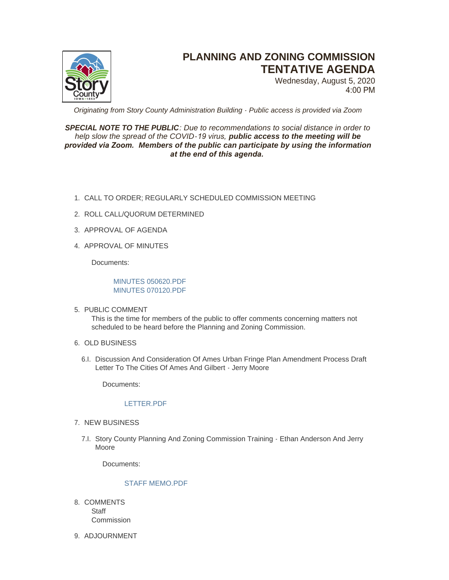

# **PLANNING AND ZONING COMMISSION TENTATIVE AGENDA**

Wednesday, August 5, 2020 4:00 PM

*Originating from Story County Administration Building - Public access is provided via Zoom*

## *SPECIAL NOTE TO THE PUBLIC: Due to recommendations to social distance in order to help slow the spread of the COVID-19 virus, public access to the meeting will be provided via Zoom. Members of the public can participate by using the information at the end of this agenda.*

- CALL TO ORDER; REGULARLY SCHEDULED COMMISSION MEETING 1.
- 2. ROLL CALL/QUORUM DETERMINED
- 3. APPROVAL OF AGENDA
- 4. APPROVAL OF MINUTES

Documents:

### [MINUTES 050620.PDF](http://www.storycountyiowa.gov/AgendaCenter/ViewFile/Item/18458?fileID=14054) [MINUTES 070120.PDF](http://www.storycountyiowa.gov/AgendaCenter/ViewFile/Item/18458?fileID=14055)

5. PUBLIC COMMENT

This is the time for members of the public to offer comments concerning matters not scheduled to be heard before the Planning and Zoning Commission.

- 6. OLD BUSINESS
	- 6.I. Discussion And Consideration Of Ames Urban Fringe Plan Amendment Process Draft Letter To The Cities Of Ames And Gilbert - Jerry Moore

Documents:

#### [LETTER.PDF](http://www.storycountyiowa.gov/AgendaCenter/ViewFile/Item/18456?fileID=14051)

- 7. NEW BUSINESS
	- 7.I. Story County Planning And Zoning Commission Training Ethan Anderson And Jerry Moore

Documents:

#### [STAFF MEMO.PDF](http://www.storycountyiowa.gov/AgendaCenter/ViewFile/Item/18455?fileID=14050)

- 8. COMMENTS **Staff Commission**
- 9. ADJOURNMENT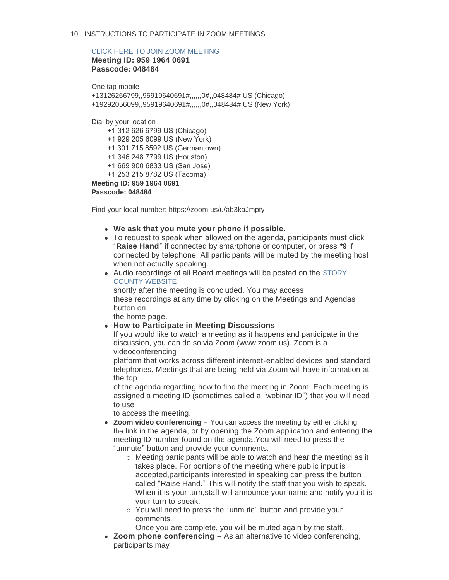## 10. INSTRUCTIONS TO PARTICIPATE IN ZOOM MEETINGS

#### [CLICK HERE TO JOIN ZOOM MEETING](https://zoom.us/j/95919640691?pwd=ZmdzMDdoTi9Lak4yREl2amsxTlZ5QT09)

**Meeting ID: 959 1964 0691 Passcode: 048484**

One tap mobile +13126266799,,95919640691#,,,,,,0#,,048484# US (Chicago) +19292056099,,95919640691#,,,,,,0#,,048484# US (New York)

Dial by your location

+1 312 626 6799 US (Chicago)

+1 929 205 6099 US (New York)

+1 301 715 8592 US (Germantown)

+1 346 248 7799 US (Houston)

+1 669 900 6833 US (San Jose)

+1 253 215 8782 US (Tacoma)

**Meeting ID: 959 1964 0691**

**Passcode: 048484**

Find your local number: https://zoom.us/u/ab3kaJmpty

- **.** We ask that you mute your phone if possible.
- To request to speak when allowed on the agenda, participants must click "**Raise Hand**" if connected by smartphone or computer, or press **\*9** if connected by telephone. All participants will be muted by the meeting host when not actually speaking.
- Audio recordings of all Board meetings will be posted on the STORY COUNTY WEBSITE

shortly after the meeting is concluded. You may access these recordings at any time by clicking on the Meetings and Agendas button on

the home page.

#### **• How to Participate in Meeting Discussions**

If you would like to watch a meeting as it happens and participate in the discussion, you can do so via Zoom (www.zoom.us). Zoom is a videoconferencing

platform that works across different internet-enabled devices and standard telephones. Meetings that are being held via Zoom will have information at the top

of the agenda regarding how to find the meeting in Zoom. Each meeting is assigned a meeting ID (sometimes called a "webinar ID") that you will need to use

to access the meeting.

- Zoom video conferencing You can access the meeting by either clicking the link in the agenda, or by opening the Zoom application and entering the meeting ID number found on the agenda.You will need to press the "unmute" button and provide your comments.
	- $\circ$  Meeting participants will be able to watch and hear the meeting as it takes place. For portions of the meeting where public input is accepted,participants interested in speaking can press the button called "Raise Hand." This will notify the staff that you wish to speak. When it is your turn, staff will announce your name and notify you it is your turn to speak.
	- o You will need to press the "unmute" button and provide your comments.

Once you are complete, you will be muted again by the staff.

• **Zoom phone conferencing** – As an alternative to video conferencing, participants may